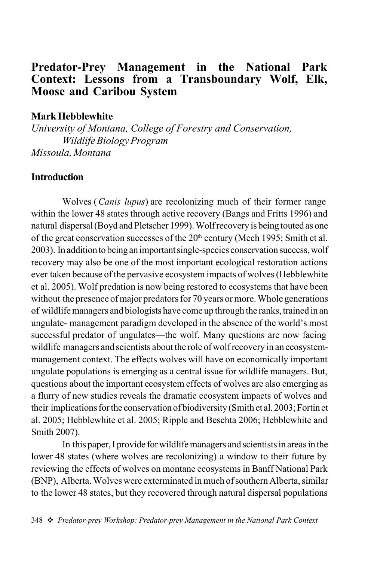# Predator-Prey Management in the National Park Context: Lessons from a Transboundary Wolf, Elk, Moose and Caribou System

#### Mark Hebblewhite

*University of Montana, College of Forestry and Conservation, Wildlife Biology Program Missoula, Montana*

### **Introduction**

Wolves (*Canis lupus*) are recolonizing much of their former range within the lower 48 states through active recovery (Bangs and Fritts 1996) and natural dispersal (Boyd and Pletscher 1999). Wolf recovery is being touted as one of the great conservation successes of the 20<sup>th</sup> century (Mech 1995; Smith et al. 2003). In addition to being an important single-species conservation success, wolf recovery may also be one of the most important ecological restoration actions ever taken because of the pervasive ecosystem impacts of wolves (Hebblewhite et al. 2005). Wolf predation is now being restored to ecosystems that have been without the presence of major predators for 70 years or more. Whole generations of wildlife managers and biologists have come up through the ranks, trained in an ungulate- management paradigm developed in the absence of the world's most successful predator of ungulates—the wolf. Many questions are now facing wildlife managers and scientists about the role of wolf recovery in an ecosystemmanagement context. The effects wolves will have on economically important ungulate populations is emerging as a central issue for wildlife managers. But, questions about the important ecosystem effects of wolves are also emerging as a flurry of new studies reveals the dramatic ecosystem impacts of wolves and their implications for the conservation of biodiversity (Smith et al. 2003; Fortin et al. 2005; Hebblewhite et al. 2005; Ripple and Beschta 2006; Hebblewhite and Smith 2007).

In this paper, I provide for wildlife managers and scientists in areas in the lower 48 states (where wolves are recolonizing) a window to their future by reviewing the effects of wolves on montane ecosystems in Banff National Park (BNP), Alberta. Wolves were exterminated in much of southern Alberta, similar to the lower 48 states, but they recovered through natural dispersal populations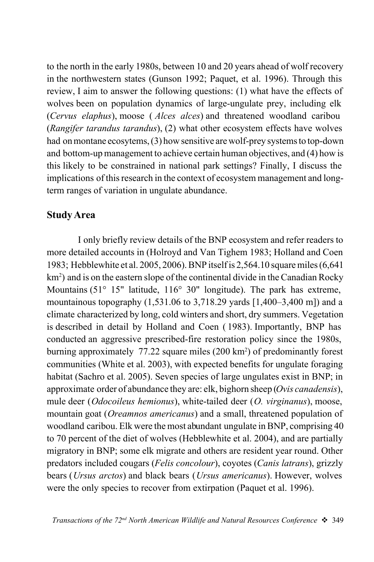to the north in the early 1980s, between 10 and 20 years ahead of wolf recovery in the northwestern states (Gunson 1992; Paquet, et al. 1996). Through this review, I aim to answer the following questions: (1) what have the effects of wolves been on population dynamics of large-ungulate prey, including elk (*Cervus elaphus*), moose ( *Alces alces*) and threatened woodland caribou (*Rangifer tarandus tarandus*), (2) what other ecosystem effects have wolves had on montane ecosytems, (3) how sensitive are wolf-prey systems to top-down and bottom-up management to achieve certain human objectives, and (4) how is this likely to be constrained in national park settings? Finally, I discuss the implications of this research in the context of ecosystem management and longterm ranges of variation in ungulate abundance.

### Study Area

I only briefly review details of the BNP ecosystem and refer readers to more detailed accounts in (Holroyd and Van Tighem 1983; Holland and Coen 1983; Hebblewhite et al. 2005, 2006). BNP itself is 2,564.10 square miles (6,641 km<sup>2</sup>) and is on the eastern slope of the continental divide in the Canadian Rocky Mountains (51° 15" latitude, 116° 30" longitude). The park has extreme, mountainous topography (1,531.06 to 3,718.29 yards [1,400–3,400 m]) and a climate characterized by long, cold winters and short, dry summers. Vegetation is described in detail by Holland and Coen ( 1983). Importantly, BNP has conducted an aggressive prescribed-fire restoration policy since the 1980s, burning approximately 77.22 square miles (200 km<sup>2</sup>) of predominantly forest communities (White et al. 2003), with expected benefits for ungulate foraging habitat (Sachro et al. 2005). Seven species of large ungulates exist in BNP; in approximate order of abundance they are: elk, bighorn sheep (*Ovis canadensis*), mule deer (*Odocoileus hemionus*), white-tailed deer (*O. virginanus*), moose, mountain goat (*Oreamnos americanus*) and a small, threatened population of woodland caribou. Elk were the most abundant ungulate in BNP, comprising 40 to 70 percent of the diet of wolves (Hebblewhite et al. 2004), and are partially migratory in BNP; some elk migrate and others are resident year round. Other predators included cougars (*Felis concolour*), coyotes (*Canis latrans*), grizzly bears (*Ursus arctos*) and black bears (*Ursus americanus*). However, wolves were the only species to recover from extirpation (Paquet et al. 1996).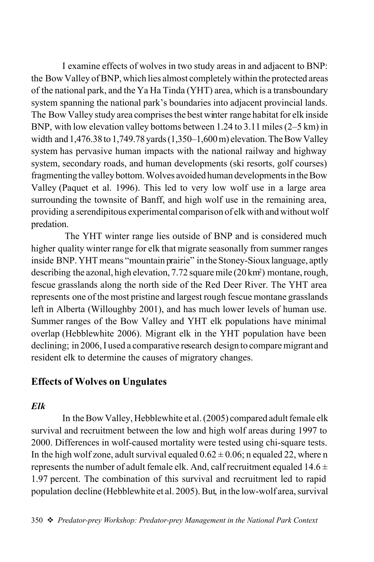I examine effects of wolves in two study areas in and adjacent to BNP: the Bow Valley of BNP, which lies almost completely within the protected areas of the national park, and the Ya Ha Tinda (YHT) area, which is a transboundary system spanning the national park's boundaries into adjacent provincial lands. The Bow Valley study area comprises the best winter range habitat for elk inside BNP, with low elevation valley bottoms between 1.24 to 3.11 miles (2–5 km) in width and 1,476.38 to 1,749.78 yards (1,350–1,600 m) elevation. The Bow Valley system has pervasive human impacts with the national railway and highway system, secondary roads, and human developments (ski resorts, golf courses) fragmenting the valley bottom. Wolves avoided human developments in the Bow Valley (Paquet et al. 1996). This led to very low wolf use in a large area surrounding the townsite of Banff, and high wolf use in the remaining area, providing a serendipitous experimental comparison of elk with and without wolf predation.

 The YHT winter range lies outside of BNP and is considered much higher quality winter range for elk that migrate seasonally from summer ranges inside BNP. YHT means "mountain prairie" in the Stoney-Sioux language, aptly describing the azonal, high elevation, 7.72 square mile (20 km<sup>2</sup>) montane, rough, fescue grasslands along the north side of the Red Deer River. The YHT area represents one of the most pristine and largest rough fescue montane grasslands left in Alberta (Willoughby 2001), and has much lower levels of human use. Summer ranges of the Bow Valley and YHT elk populations have minimal overlap (Hebblewhite 2006). Migrant elk in the YHT population have been declining; in 2006, I used a comparative research design to compare migrant and resident elk to determine the causes of migratory changes.

### Effects of Wolves on Ungulates

#### *Elk*

In the Bow Valley, Hebblewhite et al. (2005) compared adult female elk survival and recruitment between the low and high wolf areas during 1997 to 2000. Differences in wolf-caused mortality were tested using chi-square tests. In the high wolf zone, adult survival equaled  $0.62 \pm 0.06$ ; n equaled 22, where n represents the number of adult female elk. And, calf recruitment equaled  $14.6 \pm$ 1.97 percent. The combination of this survival and recruitment led to rapid population decline (Hebblewhite et al. 2005). But, in the low-wolf area, survival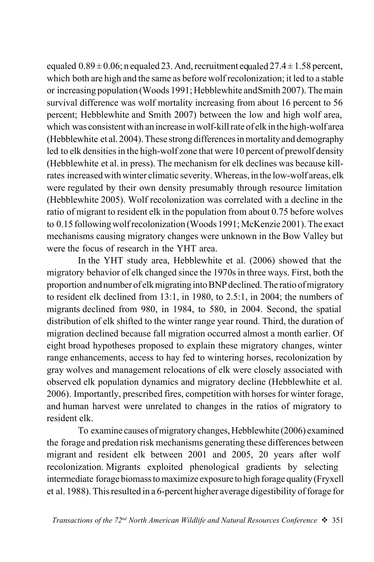equaled  $0.89 \pm 0.06$ ; n equaled 23. And, recruitment equaled  $27.4 \pm 1.58$  percent, which both are high and the same as before wolf recolonization; it led to a stable or increasing population (Woods 1991; Hebblewhite and Smith 2007). The main survival difference was wolf mortality increasing from about 16 percent to 56 percent; Hebblewhite and Smith 2007) between the low and high wolf area, which was consistent with an increase in wolf-kill rate of elk in the high-wolf area (Hebblewhite et al. 2004). These strong differences in mortality and demography led to elk densities in the high-wolf zone that were 10 percent of prewolf density (Hebblewhite et al. in press). The mechanism for elk declines was because killrates increased with winter climatic severity. Whereas, in the low-wolf areas, elk were regulated by their own density presumably through resource limitation (Hebblewhite 2005). Wolf recolonization was correlated with a decline in the ratio of migrant to resident elk in the population from about 0.75 before wolves to 0.15 following wolf recolonization (Woods 1991; McKenzie 2001). The exact mechanisms causing migratory changes were unknown in the Bow Valley but were the focus of research in the YHT area.

In the YHT study area, Hebblewhite et al. (2006) showed that the migratory behavior of elk changed since the 1970s in three ways. First, both the proportion and number of elk migrating into BNP declined. The ratio of migratory to resident elk declined from 13:1, in 1980, to 2.5:1, in 2004; the numbers of migrants declined from 980, in 1984, to 580, in 2004. Second, the spatial distribution of elk shifted to the winter range year round. Third, the duration of migration declined because fall migration occurred almost a month earlier. Of eight broad hypotheses proposed to explain these migratory changes, winter range enhancements, access to hay fed to wintering horses, recolonization by gray wolves and management relocations of elk were closely associated with observed elk population dynamics and migratory decline (Hebblewhite et al. 2006). Importantly, prescribed fires, competition with horses for winter forage, and human harvest were unrelated to changes in the ratios of migratory to resident elk.

To examine causes of migratory changes, Hebblewhite (2006) examined the forage and predation risk mechanisms generating these differences between migrant and resident elk between 2001 and 2005, 20 years after wolf recolonization. Migrants exploited phenological gradients by selecting intermediate forage biomass to maximize exposure to high forage quality (Fryxell et al. 1988). This resulted in a 6-percent higher average digestibility of forage for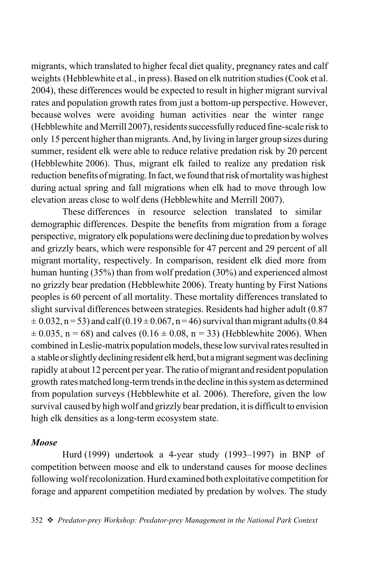migrants, which translated to higher fecal diet quality, pregnancy rates and calf weights (Hebblewhite et al., in press). Based on elk nutrition studies (Cook et al. 2004), these differences would be expected to result in higher migrant survival rates and population growth rates from just a bottom-up perspective. However, because wolves were avoiding human activities near the winter range (Hebblewhite and Merrill 2007), residents successfully reduced fine-scale risk to only 15 percent higher than migrants. And, by living in larger group sizes during summer, resident elk were able to reduce relative predation risk by 20 percent (Hebblewhite 2006). Thus, migrant elk failed to realize any predation risk reduction benefits of migrating. In fact, we found that risk of mortality was highest during actual spring and fall migrations when elk had to move through low elevation areas close to wolf dens (Hebblewhite and Merrill 2007).

These differences in resource selection translated to similar demographic differences. Despite the benefits from migration from a forage perspective, migratory elk populations were declining due to predation by wolves and grizzly bears, which were responsible for 47 percent and 29 percent of all migrant mortality, respectively. In comparison, resident elk died more from human hunting (35%) than from wolf predation (30%) and experienced almost no grizzly bear predation (Hebblewhite 2006). Treaty hunting by First Nations peoples is 60 percent of all mortality. These mortality differences translated to slight survival differences between strategies. Residents had higher adult (0.87  $\pm$  0.032, n = 53) and calf (0.19 $\pm$ 0.067, n = 46) survival than migrant adults (0.84)  $\pm$  0.035, n = 68) and calves (0.16  $\pm$  0.08, n = 33) (Hebblewhite 2006). When combined in Leslie-matrix population models, these low survival rates resulted in a stable or slightly declining resident elk herd, but a migrant segment was declining rapidly at about 12 percent per year. The ratio of migrant and resident population growth rates matched long-term trends in the decline in this system as determined from population surveys (Hebblewhite et al. 2006). Therefore, given the low survival caused by high wolf and grizzly bear predation, it is difficult to envision high elk densities as a long-term ecosystem state.

#### *Moose*

Hurd (1999) undertook a 4-year study (1993–1997) in BNP of competition between moose and elk to understand causes for moose declines following wolf recolonization. Hurd examined both exploitative competition for forage and apparent competition mediated by predation by wolves. The study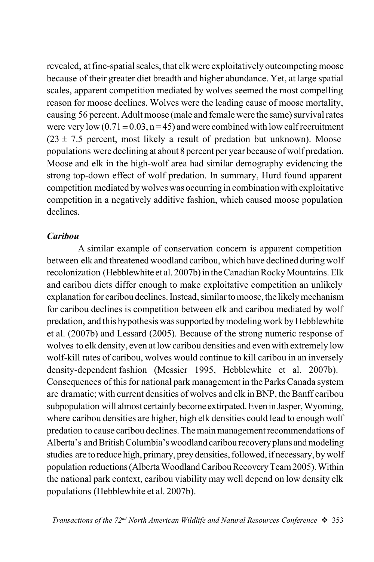revealed, at fine-spatial scales, that elk were exploitatively outcompeting moose because of their greater diet breadth and higher abundance. Yet, at large spatial scales, apparent competition mediated by wolves seemed the most compelling reason for moose declines. Wolves were the leading cause of moose mortality, causing 56 percent. Adult moose (male and female were the same) survival rates were very low  $(0.71 \pm 0.03, n = 45)$  and were combined with low calf recruitment  $(23 \pm 7.5)$  percent, most likely a result of predation but unknown). Moose populations were declining at about 8 percent per year because of wolf predation. Moose and elk in the high-wolf area had similar demography evidencing the strong top-down effect of wolf predation. In summary, Hurd found apparent competition mediated by wolves was occurring in combination with exploitative competition in a negatively additive fashion, which caused moose population declines.

#### *Caribou*

A similar example of conservation concern is apparent competition between elk and threatened woodland caribou, which have declined during wolf recolonization (Hebblewhite et al. 2007b) in the Canadian Rocky Mountains. Elk and caribou diets differ enough to make exploitative competition an unlikely explanation for caribou declines. Instead, similar to moose, the likely mechanism for caribou declines is competition between elk and caribou mediated by wolf predation, and this hypothesis was supported by modeling work by Hebblewhite et al. (2007b) and Lessard (2005). Because of the strong numeric response of wolves to elk density, even at low caribou densities and even with extremely low wolf-kill rates of caribou, wolves would continue to kill caribou in an inversely density-dependent fashion (Messier 1995, Hebblewhite et al. 2007b). Consequences of this for national park management in the Parks Canada system are dramatic; with current densities of wolves and elk in BNP, the Banff caribou subpopulation will almost certainly become extirpated. Even in Jasper, Wyoming, where caribou densities are higher, high elk densities could lead to enough wolf predation to cause caribou declines. The main management recommendations of Alberta's and British Columbia's woodland caribou recovery plans and modeling studies are to reduce high, primary, prey densities, followed, if necessary, by wolf population reductions (Alberta Woodland Caribou Recovery Team 2005). Within the national park context, caribou viability may well depend on low density elk populations (Hebblewhite et al. 2007b).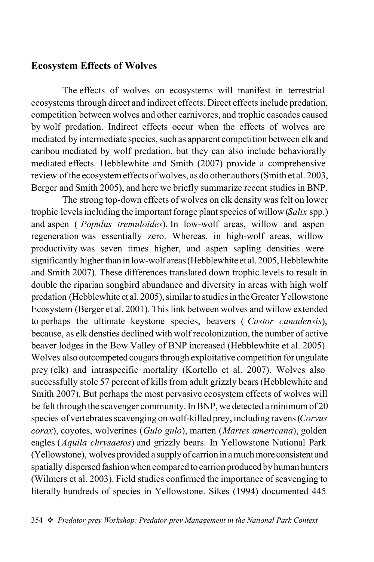### Ecosystem Effects of Wolves

The effects of wolves on ecosystems will manifest in terrestrial ecosystems through direct and indirect effects. Direct effects include predation, competition between wolves and other carnivores, and trophic cascades caused by wolf predation. Indirect effects occur when the effects of wolves are mediated by intermediate species, such as apparent competition between elk and caribou mediated by wolf predation, but they can also include behaviorally mediated effects. Hebblewhite and Smith (2007) provide a comprehensive review of the ecosystem effects of wolves, as do other authors (Smith et al. 2003, Berger and Smith 2005), and here we briefly summarize recent studies in BNP.

The strong top-down effects of wolves on elk density was felt on lower trophic levels including the important forage plant species of willow (*Salix* spp.) and aspen ( *Populus tremuloides*). In low-wolf areas, willow and aspen regeneration was essentially zero. Whereas, in high-wolf areas, willow productivity was seven times higher, and aspen sapling densities were significantly higher than in low-wolf areas (Hebblewhite et al. 2005, Hebblewhite and Smith 2007). These differences translated down trophic levels to result in double the riparian songbird abundance and diversity in areas with high wolf predation (Hebblewhite et al. 2005), similar to studies in the Greater Yellowstone Ecosystem (Berger et al. 2001). This link between wolves and willow extended to perhaps the ultimate keystone species, beavers ( *Castor canadensis*), because, as elk densties declined with wolf recolonization, the number of active beaver lodges in the Bow Valley of BNP increased (Hebblewhite et al. 2005). Wolves also outcompeted cougars through exploitative competition for ungulate prey (elk) and intraspecific mortality (Kortello et al. 2007). Wolves also successfully stole 57 percent of kills from adult grizzly bears (Hebblewhite and Smith 2007). But perhaps the most pervasive ecosystem effects of wolves will be felt through the scavenger community. In BNP, we detected a minimum of 20 species of vertebrates scavenging on wolf-killed prey, including ravens (*Corvus corax*), coyotes, wolverines (*Gulo gulo*), marten (*Martes americana*), golden eagles (*Aquila chrysaetos*) and grizzly bears. In Yellowstone National Park (Yellowstone), wolves provided a supply of carrion in a much more consistent and spatially dispersed fashion when compared to carrion produced by human hunters (Wilmers et al. 2003). Field studies confirmed the importance of scavenging to literally hundreds of species in Yellowstone. Sikes (1994) documented 445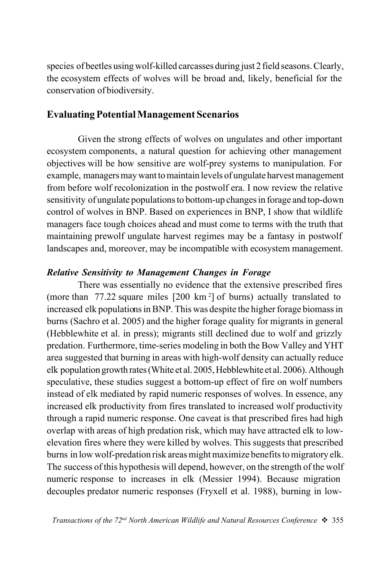species of beetles using wolf-killed carcasses during just 2 field seasons. Clearly, the ecosystem effects of wolves will be broad and, likely, beneficial for the conservation of biodiversity.

### Evaluating Potential Management Scenarios

Given the strong effects of wolves on ungulates and other important ecosystem components, a natural question for achieving other management objectives will be how sensitive are wolf-prey systems to manipulation. For example, managers may want to maintain levels of ungulate harvest management from before wolf recolonization in the postwolf era. I now review the relative sensitivity of ungulate populations to bottom-up changes in forage and top-down control of wolves in BNP. Based on experiences in BNP, I show that wildlife managers face tough choices ahead and must come to terms with the truth that maintaining prewolf ungulate harvest regimes may be a fantasy in postwolf landscapes and, moreover, may be incompatible with ecosystem management.

#### *Relative Sensitivity to Management Changes in Forage*

There was essentially no evidence that the extensive prescribed fires (more than 77.22 square miles [200 km <sup>2</sup> ] of burns) actually translated to increased elk populations in BNP. This was despite the higher forage biomass in burns (Sachro et al. 2005) and the higher forage quality for migrants in general (Hebblewhite et al. in press); migrants still declined due to wolf and grizzly predation. Furthermore, time-series modeling in both the Bow Valley and YHT area suggested that burning in areas with high-wolf density can actually reduce elk population growth rates (White et al. 2005, Hebblewhite et al. 2006). Although speculative, these studies suggest a bottom-up effect of fire on wolf numbers instead of elk mediated by rapid numeric responses of wolves. In essence, any increased elk productivity from fires translated to increased wolf productivity through a rapid numeric response. One caveat is that prescribed fires had high overlap with areas of high predation risk, which may have attracted elk to lowelevation fires where they were killed by wolves. This suggests that prescribed burns in low wolf-predation risk areas might maximize benefits to migratory elk. The success of this hypothesis will depend, however, on the strength of the wolf numeric response to increases in elk (Messier 1994). Because migration decouples predator numeric responses (Fryxell et al. 1988), burning in low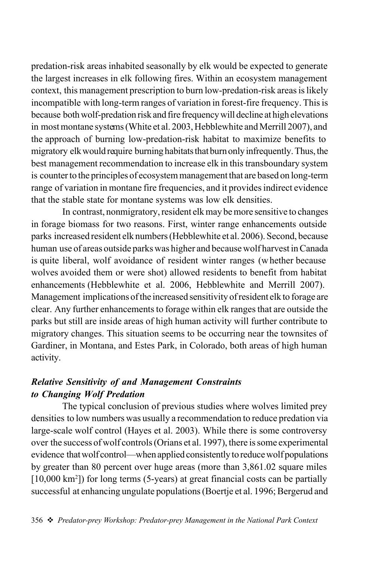predation-risk areas inhabited seasonally by elk would be expected to generate the largest increases in elk following fires. Within an ecosystem management context, this management prescription to burn low-predation-risk areas is likely incompatible with long-term ranges of variation in forest-fire frequency. This is because both wolf-predation risk and fire frequency will decline at high elevations in most montane systems (White et al. 2003, Hebblewhite and Merrill 2007), and the approach of burning low-predation-risk habitat to maximize benefits to migratory elk would require burning habitats that burn only infrequently. Thus, the best management recommendation to increase elk in this transboundary system is counter to the principles of ecosystem management that are based on long-term range of variation in montane fire frequencies, and it provides indirect evidence that the stable state for montane systems was low elk densities.

In contrast, nonmigratory, resident elk may be more sensitive to changes in forage biomass for two reasons. First, winter range enhancements outside parks increased resident elk numbers (Hebblewhite et al. 2006). Second, because human use of areas outside parks was higher and because wolf harvest in Canada is quite liberal, wolf avoidance of resident winter ranges (whether because wolves avoided them or were shot) allowed residents to benefit from habitat enhancements (Hebblewhite et al. 2006, Hebblewhite and Merrill 2007). Management implications of the increased sensitivity of resident elk to forage are clear. Any further enhancements to forage within elk ranges that are outside the parks but still are inside areas of high human activity will further contribute to migratory changes. This situation seems to be occurring near the townsites of Gardiner, in Montana, and Estes Park, in Colorado, both areas of high human activity.

### *Relative Sensitivity of and Management Constraints to Changing Wolf Predation*

The typical conclusion of previous studies where wolves limited prey densities to low numbers was usually a recommendation to reduce predation via large-scale wolf control (Hayes et al. 2003). While there is some controversy over the success of wolf controls (Orians et al. 1997), there is some experimental evidence that wolf control—when applied consistently to reduce wolf populations by greater than 80 percent over huge areas (more than 3,861.02 square miles [10,000 km<sup>2</sup>]) for long terms (5-years) at great financial costs can be partially successful at enhancing ungulate populations (Boertje et al. 1996; Bergerud and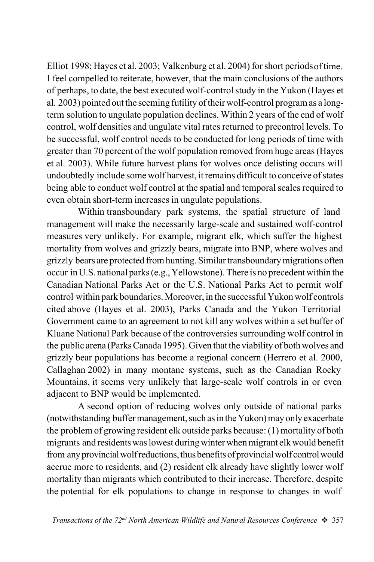Elliot 1998; Hayes et al. 2003; Valkenburg et al. 2004) for short periodsof time. I feel compelled to reiterate, however, that the main conclusions of the authors of perhaps, to date, the best executed wolf-control study in the Yukon (Hayes et al. 2003) pointed out the seeming futility of their wolf-control program as a longterm solution to ungulate population declines. Within 2 years of the end of wolf control, wolf densities and ungulate vital rates returned to precontrol levels. To be successful, wolf control needs to be conducted for long periods of time with greater than 70 percent of the wolf population removed from huge areas (Hayes et al. 2003). While future harvest plans for wolves once delisting occurs will undoubtedly include some wolf harvest, it remains difficult to conceive of states being able to conduct wolf control at the spatial and temporal scales required to even obtain short-term increases in ungulate populations.

Within transboundary park systems, the spatial structure of land management will make the necessarily large-scale and sustained wolf-control measures very unlikely. For example, migrant elk, which suffer the highest mortality from wolves and grizzly bears, migrate into BNP, where wolves and grizzly bears are protected from hunting. Similar transboundary migrations often occur in U.S. national parks (e.g., Yellowstone). There is no precedent within the Canadian National Parks Act or the U.S. National Parks Act to permit wolf control within park boundaries. Moreover, in the successful Yukon wolf controls cited above (Hayes et al. 2003), Parks Canada and the Yukon Territorial Government came to an agreement to not kill any wolves within a set buffer of Kluane National Park because of the controversies surrounding wolf control in the public arena (Parks Canada 1995). Given that the viability of both wolves and grizzly bear populations has become a regional concern (Herrero et al. 2000, Callaghan 2002) in many montane systems, such as the Canadian Rocky Mountains, it seems very unlikely that large-scale wolf controls in or even adjacent to BNP would be implemented.

A second option of reducing wolves only outside of national parks (notwithstanding buffer management, such as in the Yukon) may only exacerbate the problem of growing resident elk outside parks because: (1) mortality of both migrants and residents was lowest during winter when migrant elk would benefit from any provincial wolf reductions, thus benefits of provincial wolf control would accrue more to residents, and (2) resident elk already have slightly lower wolf mortality than migrants which contributed to their increase. Therefore, despite the potential for elk populations to change in response to changes in wolf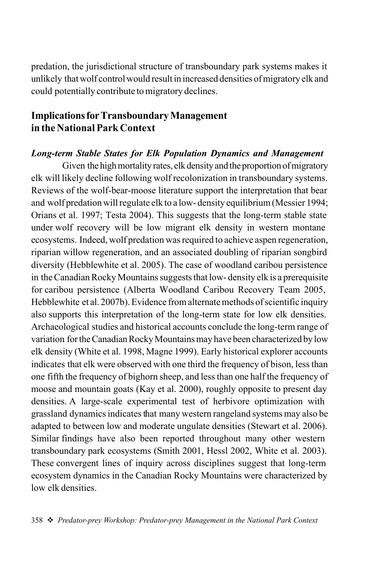predation, the jurisdictional structure of transboundary park systems makes it unlikely that wolf control would result in increased densities of migratory elk and could potentially contribute to migratory declines.

### Implications for Transboundary Management in the National Park Context

#### *Long-term Stable States for Elk Population Dynamics and Management*

Given the high mortality rates, elk density and the proportion of migratory elk will likely decline following wolf recolonization in transboundary systems. Reviews of the wolf-bear-moose literature support the interpretation that bear and wolf predation will regulate elk to a low- density equilibrium (Messier 1994; Orians et al. 1997; Testa 2004). This suggests that the long-term stable state under wolf recovery will be low migrant elk density in western montane ecosystems. Indeed, wolf predation was required to achieve aspen regeneration, riparian willow regeneration, and an associated doubling of riparian songbird diversity (Hebblewhite et al. 2005). The case of woodland caribou persistence in the Canadian Rocky Mountains suggests that low- density elk is a prerequisite for caribou persistence (Alberta Woodland Caribou Recovery Team 2005, Hebblewhite et al. 2007b). Evidence from alternate methods of scientific inquiry also supports this interpretation of the long-term state for low elk densities. Archaeological studies and historical accounts conclude the long-term range of variation for the Canadian Rocky Mountains may have been characterized by low elk density (White et al. 1998, Magne 1999). Early historical explorer accounts indicates that elk were observed with one third the frequency of bison, less than one fifth the frequency of bighorn sheep, and less than one half the frequency of moose and mountain goats (Kay et al. 2000), roughly opposite to present day densities. A large-scale experimental test of herbivore optimization with grassland dynamics indicates that many western rangeland systems may also be adapted to between low and moderate ungulate densities (Stewart et al. 2006). Similar findings have also been reported throughout many other western transboundary park ecosystems (Smith 2001, Hessl 2002, White et al. 2003). These convergent lines of inquiry across disciplines suggest that long-term ecosystem dynamics in the Canadian Rocky Mountains were characterized by low elk densities.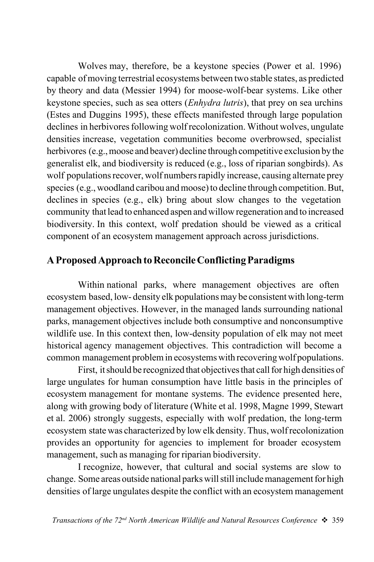Wolves may, therefore, be a keystone species (Power et al. 1996) capable of moving terrestrial ecosystems between two stable states, as predicted by theory and data (Messier 1994) for moose-wolf-bear systems. Like other keystone species, such as sea otters (*Enhydra lutris*), that prey on sea urchins (Estes and Duggins 1995), these effects manifested through large population declines in herbivores following wolf recolonization. Without wolves, ungulate densities increase, vegetation communities become overbrowsed, specialist herbivores (e.g., moose and beaver) decline through competitive exclusion by the generalist elk, and biodiversity is reduced (e.g., loss of riparian songbirds). As wolf populations recover, wolf numbers rapidly increase, causing alternate prey species (e.g., woodland caribou and moose) to decline through competition. But, declines in species (e.g., elk) bring about slow changes to the vegetation community that lead to enhanced aspen and willow regeneration and to increased biodiversity. In this context, wolf predation should be viewed as a critical component of an ecosystem management approach across jurisdictions.

## A Proposed Approach to Reconcile Conflicting Paradigms

Within national parks, where management objectives are often ecosystem based, low- density elk populations may be consistent with long-term management objectives. However, in the managed lands surrounding national parks, management objectives include both consumptive and nonconsumptive wildlife use. In this context then, low-density population of elk may not meet historical agency management objectives. This contradiction will become a common management problem in ecosystems with recovering wolf populations.

First, it should be recognized that objectives that call for high densities of large ungulates for human consumption have little basis in the principles of ecosystem management for montane systems. The evidence presented here, along with growing body of literature (White et al. 1998, Magne 1999, Stewart et al. 2006) strongly suggests, especially with wolf predation, the long-term ecosystem state was characterized by low elk density. Thus, wolf recolonization provides an opportunity for agencies to implement for broader ecosystem management, such as managing for riparian biodiversity.

I recognize, however, that cultural and social systems are slow to change. Some areas outside national parks will still include management for high densities of large ungulates despite the conflict with an ecosystem management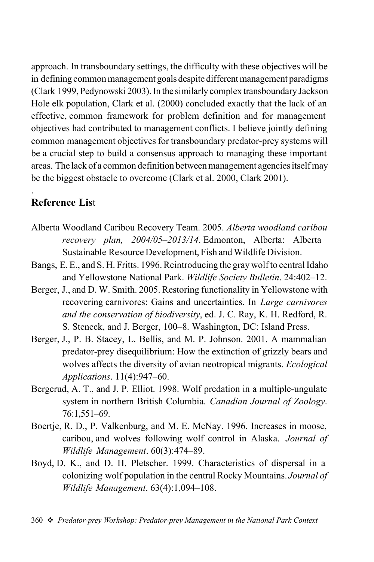approach. In transboundary settings, the difficulty with these objectives will be in defining common management goals despite different management paradigms (Clark 1999, Pedynowski 2003). In the similarly complex transboundary Jackson Hole elk population, Clark et al. (2000) concluded exactly that the lack of an effective, common framework for problem definition and for management objectives had contributed to management conflicts. I believe jointly defining common management objectives for transboundary predator-prey systems will be a crucial step to build a consensus approach to managing these important areas. The lack of a common definition between management agencies itself may be the biggest obstacle to overcome (Clark et al. 2000, Clark 2001).

# Reference List

.

- Alberta Woodland Caribou Recovery Team. 2005. *Alberta woodland caribou recovery plan, 2004/05–2013/14*. Edmonton, Alberta: Alberta Sustainable Resource Development, Fish and Wildlife Division.
- Bangs, E. E., and S. H. Fritts. 1996. Reintroducing the gray wolf to central Idaho and Yellowstone National Park. *Wildlife Society Bulletin*. 24:402–12.
- Berger, J., and D. W. Smith. 2005. Restoring functionality in Yellowstone with recovering carnivores: Gains and uncertainties. In *Large carnivores and the conservation of biodiversity*, ed. J. C. Ray, K. H. Redford, R. S. Steneck, and J. Berger, 100–8. Washington, DC: Island Press.
- Berger, J., P. B. Stacey, L. Bellis, and M. P. Johnson. 2001. A mammalian predator-prey disequilibrium: How the extinction of grizzly bears and wolves affects the diversity of avian neotropical migrants. *Ecological Applications*. 11(4):947–60.
- Bergerud, A. T., and J. P. Elliot. 1998. Wolf predation in a multiple-ungulate system in northern British Columbia. *Canadian Journal of Zoology*. 76:1,551–69.
- Boertje, R. D., P. Valkenburg, and M. E. McNay. 1996. Increases in moose, caribou, and wolves following wolf control in Alaska. *Journal of Wildlife Management*. 60(3):474–89.
- Boyd, D. K., and D. H. Pletscher. 1999. Characteristics of dispersal in a colonizing wolf population in the central Rocky Mountains. *Journal of Wildlife Management*. 63(4):1,094–108.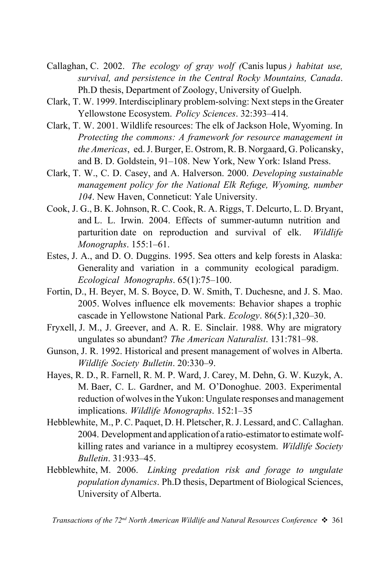- Callaghan, C. 2002. *The ecology of gray wolf (*Canis lupus *) habitat use, survival, and persistence in the Central Rocky Mountains, Canada*. Ph.D thesis, Department of Zoology, University of Guelph.
- Clark, T. W. 1999. Interdisciplinary problem-solving: Next steps in the Greater Yellowstone Ecosystem. *Policy Sciences*. 32:393–414.
- Clark, T. W. 2001. Wildlife resources: The elk of Jackson Hole, Wyoming. In *Protecting the commons: A framework for resource management in the Americas*, ed. J. Burger, E. Ostrom, R. B. Norgaard, G. Policansky, and B. D. Goldstein, 91–108. New York, New York: Island Press.
- Clark, T. W., C. D. Casey, and A. Halverson. 2000. *Developing sustainable management policy for the National Elk Refuge, Wyoming, number 104*. New Haven, Conneticut: Yale University.
- Cook, J. G., B. K. Johnson, R. C. Cook, R. A. Riggs, T. Delcurto, L. D. Bryant, and L. L. Irwin. 2004. Effects of summer-autumn nutrition and parturition date on reproduction and survival of elk. *Wildlife Monographs*. 155:1–61.
- Estes, J. A., and D. O. Duggins. 1995. Sea otters and kelp forests in Alaska: Generality and variation in a community ecological paradigm. *Ecological Monographs*. 65(1):75–100.
- Fortin, D., H. Beyer, M. S. Boyce, D. W. Smith, T. Duchesne, and J. S. Mao. 2005. Wolves influence elk movements: Behavior shapes a trophic cascade in Yellowstone National Park. *Ecology*. 86(5):1,320–30.
- Fryxell, J. M., J. Greever, and A. R. E. Sinclair. 1988. Why are migratory ungulates so abundant? *The American Naturalist*. 131:781–98.
- Gunson, J. R. 1992. Historical and present management of wolves in Alberta. *Wildlife Society Bulletin*. 20:330–9.
- Hayes, R. D., R. Farnell, R. M. P. Ward, J. Carey, M. Dehn, G. W. Kuzyk, A. M. Baer, C. L. Gardner, and M. O'Donoghue. 2003. Experimental reduction of wolves in the Yukon: Ungulate responses and management implications. *Wildlife Monographs*. 152:1–35
- Hebblewhite, M., P. C. Paquet, D. H. Pletscher, R. J. Lessard, and C. Callaghan. 2004. Development and application of a ratio-estimator to estimate wolfkilling rates and variance in a multiprey ecosystem. *Wildlife Society Bulletin*. 31:933–45.
- Hebblewhite, M. 2006. *Linking predation risk and forage to ungulate population dynamics*. Ph.D thesis, Department of Biological Sciences, University of Alberta.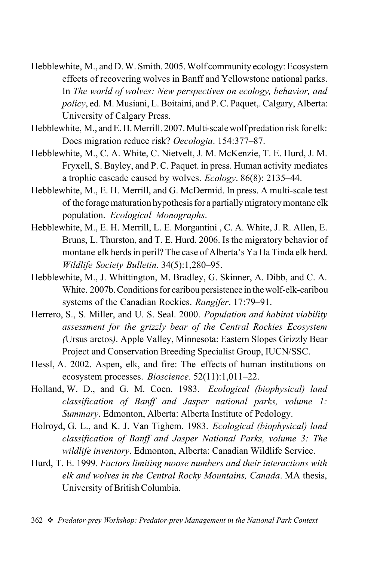- Hebblewhite, M., and D. W. Smith. 2005. Wolf community ecology: Ecosystem effects of recovering wolves in Banff and Yellowstone national parks. In *The world of wolves: New perspectives on ecology, behavior, and policy*, ed. M. Musiani, L. Boitaini, and P. C. Paquet,. Calgary, Alberta: University of Calgary Press.
- Hebblewhite, M., and E. H. Merrill. 2007. Multi-scale wolf predation risk for elk: Does migration reduce risk? *Oecologia*. 154:377–87.
- Hebblewhite, M., C. A. White, C. Nietvelt, J. M. McKenzie, T. E. Hurd, J. M. Fryxell, S. Bayley, and P. C. Paquet. in press. Human activity mediates a trophic cascade caused by wolves. *Ecology*. 86(8): 2135–44.
- Hebblewhite, M., E. H. Merrill, and G. McDermid. In press. A multi-scale test of the forage maturation hypothesis for a partially migratory montane elk population. *Ecological Monographs*.
- Hebblewhite, M., E. H. Merrill, L. E. Morgantini , C. A. White, J. R. Allen, E. Bruns, L. Thurston, and T. E. Hurd. 2006. Is the migratory behavior of montane elk herds in peril? The case of Alberta's Ya Ha Tinda elk herd. *Wildlife Society Bulletin*. 34(5):1,280–95.
- Hebblewhite, M., J. Whittington, M. Bradley, G. Skinner, A. Dibb, and C. A. White. 2007b. Conditions for caribou persistence in the wolf-elk-caribou systems of the Canadian Rockies. *Rangifer*. 17:79–91.
- Herrero, S., S. Miller, and U. S. Seal. 2000. *Population and habitat viability assessment for the grizzly bear of the Central Rockies Ecosystem (*Ursus arctos*)*. Apple Valley, Minnesota: Eastern Slopes Grizzly Bear Project and Conservation Breeding Specialist Group, IUCN/SSC.
- Hessl, A. 2002. Aspen, elk, and fire: The effects of human institutions on ecosystem processes. *Bioscience*. 52(11):1,011–22.
- Holland, W. D., and G. M. Coen. 1983. *Ecological (biophysical) land classification of Banff and Jasper national parks, volume 1: Summary*. Edmonton, Alberta: Alberta Institute of Pedology.
- Holroyd, G. L., and K. J. Van Tighem. 1983. *Ecological (biophysical) land classification of Banff and Jasper National Parks, volume 3: The wildlife inventory*. Edmonton, Alberta: Canadian Wildlife Service.
- Hurd, T. E. 1999. *Factors limiting moose numbers and their interactions with elk and wolves in the Central Rocky Mountains, Canada*. MA thesis, University of British Columbia.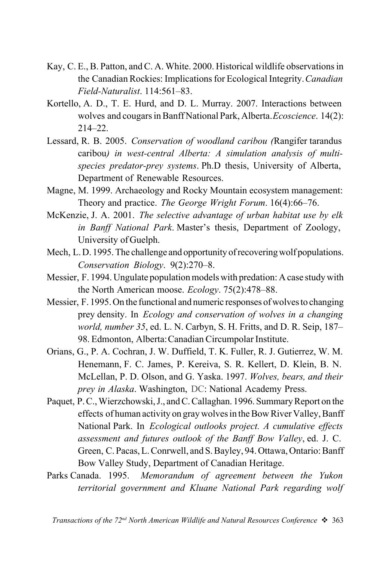- Kay, C. E., B. Patton, and C. A. White. 2000. Historical wildlife observations in the Canadian Rockies: Implications for Ecological Integrity.*Canadian Field-Naturalist*. 114:561–83.
- Kortello, A. D., T. E. Hurd, and D. L. Murray. 2007. Interactions between wolves and cougars in Banff National Park, Alberta.*Ecoscience*. 14(2): 214–22.
- Lessard, R. B. 2005. *Conservation of woodland caribou (*Rangifer tarandus caribou*) in west-central Alberta: A simulation analysis of multispecies predator-prey systems*. Ph.D thesis, University of Alberta, Department of Renewable Resources.
- Magne, M. 1999. Archaeology and Rocky Mountain ecosystem management: Theory and practice. *The George Wright Forum*. 16(4):66–76.
- McKenzie, J. A. 2001. *The selective advantage of urban habitat use by elk in Banff National Park*. Master's thesis, Department of Zoology, University of Guelph.
- Mech, L. D. 1995. The challenge and opportunity of recovering wolf populations. *Conservation Biology*. 9(2):270–8.
- Messier, F. 1994. Ungulate population models with predation: A case study with the North American moose. *Ecology*. 75(2):478–88.
- Messier, F. 1995. On the functional and numeric responses of wolves to changing prey density. In *Ecology and conservation of wolves in a changing world, number 35*, ed. L. N. Carbyn, S. H. Fritts, and D. R. Seip, 187– 98. Edmonton, Alberta: Canadian Circumpolar Institute.
- Orians, G., P. A. Cochran, J. W. Duffield, T. K. Fuller, R. J. Gutierrez, W. M. Henemann, F. C. James, P. Kereiva, S. R. Kellert, D. Klein, B. N. McLellan, P. D. Olson, and G. Yaska. 1997. *Wolves, bears, and their prey in Alaska*. Washington, DC: National Academy Press.
- Paquet, P. C., Wierzchowski, J., and C. Callaghan. 1996. Summary Report on the effects of human activity on gray wolves in the Bow River Valley, Banff National Park. In *Ecological outlooks project. A cumulative effects assessment and futures outlook of the Banff Bow Valley*, ed. J. C. Green, C. Pacas, L. Conrwell, and S. Bayley, 94. Ottawa, Ontario: Banff Bow Valley Study, Department of Canadian Heritage.
- Parks Canada. 1995. *Memorandum of agreement between the Yukon territorial government and Kluane National Park regarding wolf*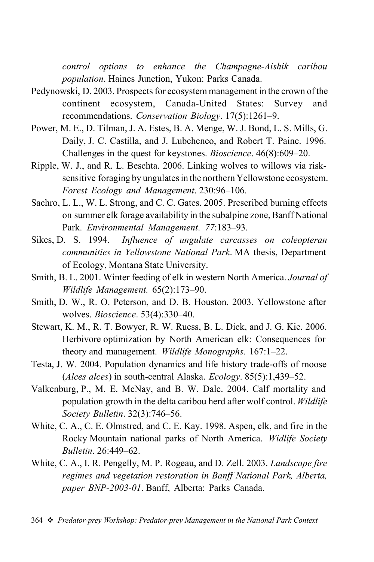*control options to enhance the Champagne-Aishik caribou population*. Haines Junction, Yukon: Parks Canada.

- Pedynowski, D. 2003. Prospects for ecosystem management in the crown of the continent ecosystem, Canada-United States: Survey and recommendations. *Conservation Biology*. 17(5):1261–9.
- Power, M. E., D. Tilman, J. A. Estes, B. A. Menge, W. J. Bond, L. S. Mills, G. Daily, J. C. Castilla, and J. Lubchenco, and Robert T. Paine. 1996. Challenges in the quest for keystones. *Bioscience*. 46(8):609–20.
- Ripple, W. J., and R. L. Beschta. 2006. Linking wolves to willows via risksensitive foraging by ungulates in the northern Yellowstone ecosystem. *Forest Ecology and Management*. 230:96–106.
- Sachro, L. L., W. L. Strong, and C. C. Gates. 2005. Prescribed burning effects on summer elk forage availability in the subalpine zone, Banff National Park. *Environmental Management*. *77*:183–93.
- Sikes, D. S. 1994. *Influence of ungulate carcasses on coleopteran communities in Yellowstone National Park*. MA thesis, Department of Ecology, Montana State University.
- Smith, B. L. 2001. Winter feeding of elk in western North America. *Journal of Wildlife Management.* 65(2):173–90.
- Smith, D. W., R. O. Peterson, and D. B. Houston. 2003. Yellowstone after wolves. *Bioscience*. 53(4):330–40.
- Stewart, K. M., R. T. Bowyer, R. W. Ruess, B. L. Dick, and J. G. Kie. 2006. Herbivore optimization by North American elk: Consequences for theory and management. *Wildlife Monographs.* 167:1–22.
- Testa, J. W. 2004. Population dynamics and life history trade-offs of moose (*Alces alces*) in south-central Alaska. *Ecology*. 85(5):1,439–52.
- Valkenburg, P., M. E. McNay, and B. W. Dale. 2004. Calf mortality and population growth in the delta caribou herd after wolf control. *Wildlife Society Bulletin*. 32(3):746–56.
- White, C. A., C. E. Olmstred, and C. E. Kay. 1998. Aspen, elk, and fire in the Rocky Mountain national parks of North America. *Widlife Society Bulletin*. 26:449–62.
- White, C. A., I. R. Pengelly, M. P. Rogeau, and D. Zell. 2003. *Landscape fire regimes and vegetation restoration in Banff National Park, Alberta, paper BNP-2003-01*. Banff, Alberta: Parks Canada.
- 364 v *Predator-prey Workshop: Predator-prey Management in the National Park Context*